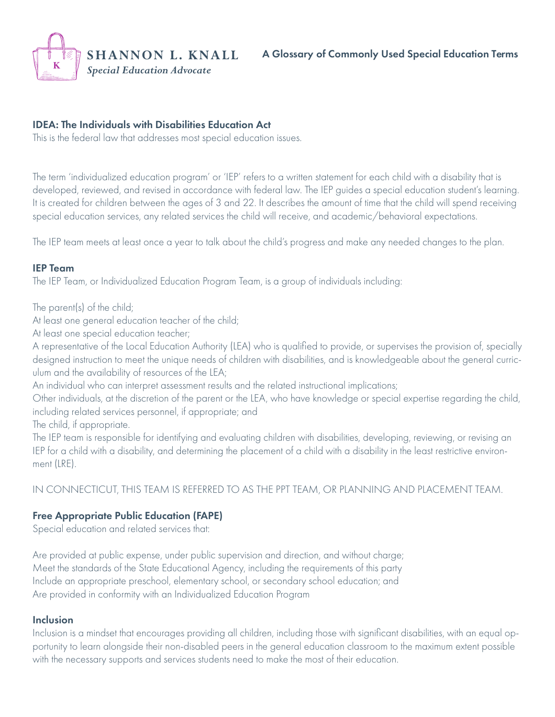

## IDEA: The Individuals with Disabilities Education Act

This is the federal law that addresses most special education issues.

The term 'individualized education program' or 'IEP' refers to a written statement for each child with a disability that is developed, reviewed, and revised in accordance with federal law. The IEP guides a special education student's learning. It is created for children between the ages of 3 and 22. It describes the amount of time that the child will spend receiving special education services, any related services the child will receive, and academic/behavioral expectations.

The IEP team meets at least once a year to talk about the child's progress and make any needed changes to the plan.

#### IEP Team

The IEP Team, or Individualized Education Program Team, is a group of individuals including:

The parent(s) of the child;

At least one general education teacher of the child;

At least one special education teacher;

A representative of the Local Education Authority (LEA) who is qualified to provide, or supervises the provision of, specially designed instruction to meet the unique needs of children with disabilities, and is knowledgeable about the general curriculum and the availability of resources of the LEA;

An individual who can interpret assessment results and the related instructional implications;

Other individuals, at the discretion of the parent or the LEA, who have knowledge or special expertise regarding the child, including related services personnel, if appropriate; and

The child, if appropriate.

The IEP team is responsible for identifying and evaluating children with disabilities, developing, reviewing, or revising an IEP for a child with a disability, and determining the placement of a child with a disability in the least restrictive environment (LRE).

IN CONNECTICUT, THIS TEAM IS REFERRED TO AS THE PPT TEAM, OR PLANNING AND PLACEMENT TEAM.

## Free Appropriate Public Education (FAPE)

Special education and related services that:

Are provided at public expense, under public supervision and direction, and without charge; Meet the standards of the State Educational Agency, including the requirements of this party Include an appropriate preschool, elementary school, or secondary school education; and Are provided in conformity with an Individualized Education Program

#### Inclusion

Inclusion is a mindset that encourages providing all children, including those with significant disabilities, with an equal opportunity to learn alongside their non-disabled peers in the general education classroom to the maximum extent possible with the necessary supports and services students need to make the most of their education.